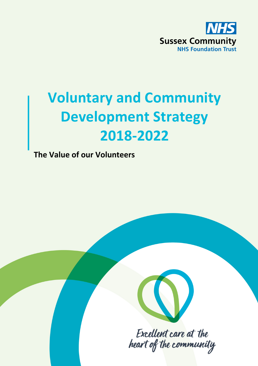

# **Voluntary and Community Development Strategy 2018-2022**

**The Value of our Volunteers**



Excellent care at the heart of the community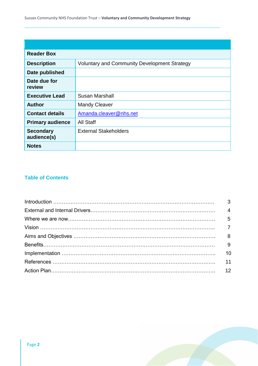| <b>Reader Box</b>               |                                                     |
|---------------------------------|-----------------------------------------------------|
| <b>Description</b>              | <b>Voluntary and Community Development Strategy</b> |
| Date published                  |                                                     |
| Date due for<br>review          |                                                     |
| <b>Executive Lead</b>           | Susan Marshall                                      |
| <b>Author</b>                   | <b>Mandy Cleaver</b>                                |
| <b>Contact details</b>          | Amanda.cleaver@nhs.net                              |
| <b>Primary audience</b>         | All Staff                                           |
| <b>Secondary</b><br>audience(s) | <b>External Stakeholders</b>                        |
| <b>Notes</b>                    |                                                     |

# **Table of Contents**

| 10 |
|----|
|    |
|    |

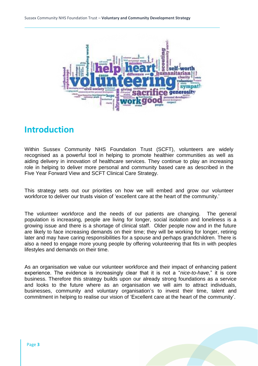

# **Introduction**

Within Sussex Community NHS Foundation Trust (SCFT), volunteers are widely recognised as a powerful tool in helping to promote healthier communities as well as aiding delivery in innovation of healthcare services. They continue to play an increasing role in helping to deliver more personal and community based care as described in the Five Year Forward View and SCFT Clinical Care Strategy.

This strategy sets out our priorities on how we will embed and grow our volunteer workforce to deliver our trusts vision of 'excellent care at the heart of the community.'

The volunteer workforce and the needs of our patients are changing. The general population is increasing, people are living for longer, social isolation and loneliness is a growing issue and there is a shortage of clinical staff. Older people now and in the future are likely to face increasing demands on their time; they will be working for longer, retiring later and may have caring responsibilities for a spouse and perhaps grandchildren. There is also a need to engage more young people by offering volunteering that fits in with peoples lifestyles and demands on their time.

As an organisation we value our volunteer workforce and their impact of enhancing patient experience. The evidence is increasingly clear that it is not a "*nice-to-have,*" it is core business. Therefore this strategy builds upon our already strong foundations as a service and looks to the future where as an organisation we will aim to attract individuals, businesses, community and voluntary organisation's to invest their time, talent and commitment in helping to realise our vision of 'Excellent care at the heart of the community'.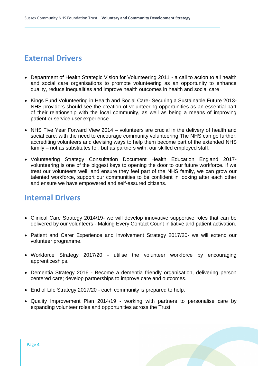# **External Drivers**

- Department of Health Strategic Vision for Volunteering 2011 a call to action to all health and social care organisations to promote volunteering as an opportunity to enhance quality, reduce inequalities and improve health outcomes in health and social care
- Kings Fund Volunteering in Health and Social Care- Securing a Sustainable Future 2013-NHS providers should see the creation of volunteering opportunities as an essential part of their relationship with the local community, as well as being a means of improving patient or service user experience
- NHS Five Year Forward View 2014 volunteers are crucial in the delivery of health and social care, with the need to encourage community volunteering The NHS can go further, accrediting volunteers and devising ways to help them become part of the extended NHS family – not as substitutes for, but as partners with, our skilled employed staff.
- Volunteering Strategy Consultation Document Health Education England 2017 volunteering is one of the biggest keys to opening the door to our future workforce. If we treat our volunteers well, and ensure they feel part of the NHS family, we can grow our talented workforce, support our communities to be confident in looking after each other and ensure we have empowered and self-assured citizens.

# **Internal Drivers**

- Clinical Care Strategy 2014/19- we will develop innovative supportive roles that can be delivered by our volunteers - Making Every Contact Count initiative and patient activation.
- Patient and Carer Experience and Involvement Strategy 2017/20- we will extend our volunteer programme.
- Workforce Strategy 2017/20 utilise the volunteer workforce by encouraging apprenticeships.
- Dementia Strategy 2016 Become a dementia friendly organisation, delivering person centered care; develop partnerships to improve care and outcomes.
- End of Life Strategy 2017/20 each community is prepared to help.
- Quality Improvement Plan 2014/19 working with partners to personalise care by expanding volunteer roles and opportunities across the Trust.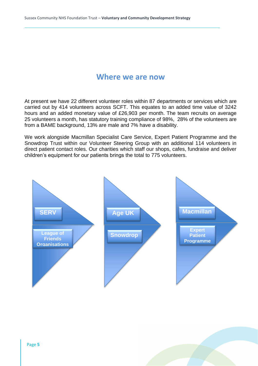# **Where we are now**

At present we have 22 different volunteer roles within 87 departments or services which are carried out by 414 volunteers across SCFT. This equates to an added time value of 3242 hours and an added monetary value of £26,903 per month. The team recruits on average 25 volunteers a month, has statutory training compliance of 98%, 28% of the volunteers are from a BAME background, 13% are male and 7% have a disability.

We work alongside Macmillan Specialist Care Service, Expert Patient Programme and the Snowdrop Trust within our Volunteer Steering Group with an additional 114 volunteers in direct patient contact roles. Our charities which staff our shops, cafes, fundraise and deliver children's equipment for our patients brings the total to 775 volunteers.

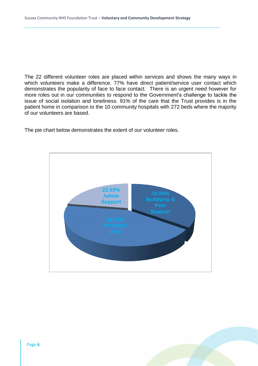The 22 different volunteer roles are placed within services and shows the many ways in which volunteers make a difference. 77% have direct patient/service user contact which demonstrates the popularity of face to face contact. There is an urgent need however for more roles out in our communities to respond to the Government's challenge to tackle the issue of social isolation and loneliness. 91% of the care that the Trust provides is in the patient home in comparison to the 10 community hospitals with 272 beds where the majority of our volunteers are based.

The pie chart below demonstrates the extent of our volunteer roles.



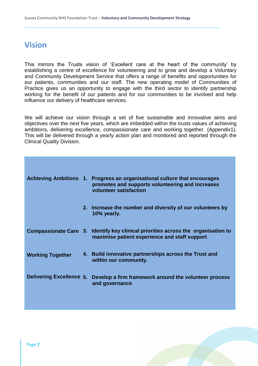# **Vision**

This mirrors the Trusts vision of 'Excellent care at the heart of the community' by establishing a centre of excellence for volunteering and to grow and develop a Voluntary and Community Development Service that offers a range of benefits and opportunities for our patients, communities and our staff. The new operating model of Communities of Practice gives us an opportunity to engage with the third sector to identify partnership working for the benefit of our patients and for our communities to be involved and help influence our delivery of healthcare services.

We will achieve our vision through a set of five sustainable and innovative aims and objectives over the next five years, which are imbedded within the trusts values of achieving ambitions, delivering excellence, compassionate care and working together. (Appendix1). This will be delivered through a yearly action plan and monitored and reported through the Clinical Quality Division.

|                         | Achieving Ambitions 1. Progress an organisational culture that encourages<br>promotes and supports volunteering and increases<br>volunteer satisfaction |
|-------------------------|---------------------------------------------------------------------------------------------------------------------------------------------------------|
|                         | 2. Increase the number and diversity of our volunteers by<br>10% yearly.                                                                                |
|                         | Compassionate Care 3. Identify key clinical priorities across the organisation to<br>maximise patient experience and staff support                      |
| <b>Working Together</b> | 4. Build innovative partnerships across the Trust and<br>within our community.                                                                          |
|                         | Delivering Excellence 5. Develop a firm framework around the volunteer process<br>and governance                                                        |
|                         |                                                                                                                                                         |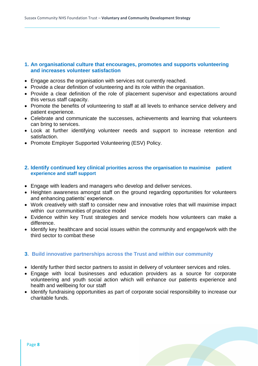### **1. An organisational culture that encourages, promotes and supports volunteering and increases volunteer satisfaction**

- Engage across the organisation with services not currently reached.
- Provide a clear definition of volunteering and its role within the organisation.
- Provide a clear definition of the role of placement supervisor and expectations around this versus staff capacity.
- Promote the benefits of volunteering to staff at all levels to enhance service delivery and patient experience.
- Celebrate and communicate the successes, achievements and learning that volunteers can bring to services.
- Look at further identifying volunteer needs and support to increase retention and satisfaction.
- Promote Employer Supported Volunteering (ESV) Policy.

#### **2. Identify continued key clinical priorities across the organisation to maximise patient experience and staff support**

- Engage with leaders and managers who develop and deliver services.
- Heighten awareness amongst staff on the ground regarding opportunities for volunteers and enhancing patients' experience.
- Work creatively with staff to consider new and innovative roles that will maximise impact within our communities of practice model
- Evidence within key Trust strategies and service models how volunteers can make a difference.
- Identify key healthcare and social issues within the community and engage/work with the third sector to combat these

### **3. Build innovative partnerships across the Trust and within our community**

- Identify further third sector partners to assist in delivery of volunteer services and roles.
- Engage with local businesses and education providers as a source for corporate volunteering and youth social action which will enhance our patients experience and health and wellbeing for our staff
- Identify fundraising opportunities as part of corporate social responsibility to increase our charitable funds.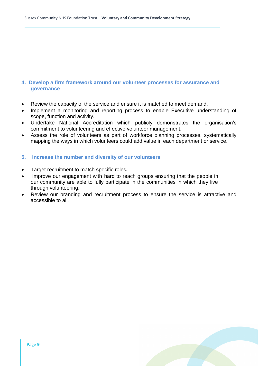#### **4. Develop a firm framework around our volunteer processes for assurance and governance**

- Review the capacity of the service and ensure it is matched to meet demand.
- Implement a monitoring and reporting process to enable Executive understanding of scope, function and activity.
- Undertake National Accreditation which publicly demonstrates the organisation's commitment to volunteering and effective volunteer management.
- Assess the role of volunteers as part of workforce planning processes, systematically mapping the ways in which volunteers could add value in each department or service.

#### **5. Increase the number and diversity of our volunteers**

- Target recruitment to match specific roles**.**
- Improve our engagement with hard to reach groups ensuring that the people in our community are able to fully participate in the communities in which they live through volunteering.
- Review our branding and recruitment process to ensure the service is attractive and accessible to all.

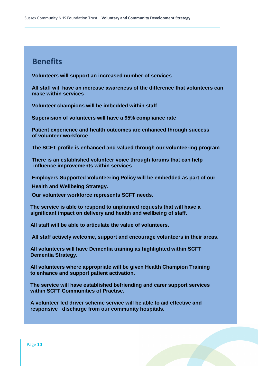# **Benefits**

 **Volunteers will support an increased number of services**

 **All staff will have an increase awareness of the difference that volunteers can make within services**

 **Volunteer champions will be imbedded within staff**

 **Supervision of volunteers will have a 95% compliance rate**

 **Patient experience and health outcomes are enhanced through success of volunteer workforce**

 **The SCFT profile is enhanced and valued through our volunteering program**

 **There is an established volunteer voice through forums that can help influence improvements within services**

 **Employers Supported Volunteering Policy will be embedded as part of our** 

 **Health and Wellbeing Strategy.** 

 **Our volunteer workforce represents SCFT needs.**

 **The service is able to respond to unplanned requests that will have a significant impact on delivery and health and wellbeing of staff.**

 **All staff will be able to articulate the value of volunteers.**

 **All staff actively welcome, support and encourage volunteers in their areas.**

 **All volunteers will have Dementia training as highlighted within SCFT Dementia Strategy.**

 **All volunteers where appropriate will be given Health Champion Training to enhance and support patient activation.**

 **The service will have established befriending and carer support services within SCFT Communities of Practise.**

 **A volunteer led driver scheme service will be able to aid effective and responsive discharge from our community hospitals.**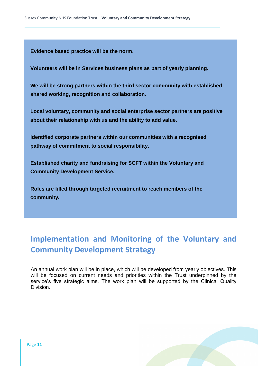**Evidence based practice will be the norm.**

 **Volunteers will be in Services business plans as part of yearly planning.**

 **We will be strong partners within the third sector community with established shared working, recognition and collaboration.**

 **Local voluntary, community and social enterprise sector partners are positive about their relationship with us and the ability to add value.**

 **Identified corporate partners within our communities with a recognised pathway of commitment to social responsibility.**

 **Established charity and fundraising for SCFT within the Voluntary and Community Development Service.**

 **Roles are filled through targeted recruitment to reach members of the community.**

# **Implementation and Monitoring of the Voluntary and Community Development Strategy**

An annual work plan will be in place, which will be developed from yearly objectives. This will be focused on current needs and priorities within the Trust underpinned by the service's five strategic aims. The work plan will be supported by the Clinical Quality Division.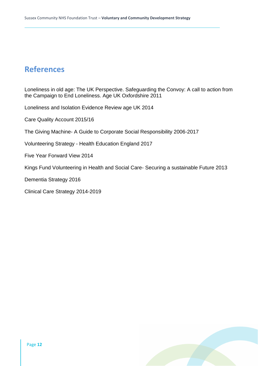# **References**

Loneliness in old age: The UK Perspective. Safeguarding the Convoy: A call to action from the Campaign to End Loneliness. Age UK Oxfordshire 2011

Loneliness and Isolation Evidence Review age UK 2014

Care Quality Account 2015/16

The Giving Machine- A Guide to Corporate Social Responsibility 2006-2017

Volunteering Strategy - Health Education England 2017

Five Year Forward View 2014

Kings Fund Volunteering in Health and Social Care- Securing a sustainable Future 2013

Dementia Strategy 2016

Clinical Care Strategy 2014-2019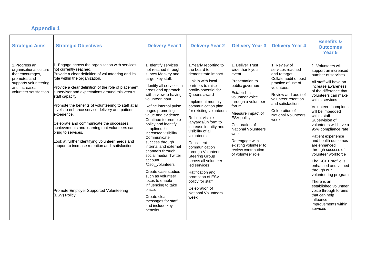| <b>Strategic Aims</b>                                                                                                                            | <b>Strategic Objectives</b>                                                                                                                                                                                                                                                                                                                                                                                                                                                                                                                                                                                                                                                                           | <b>Delivery Year 1</b>                                                                                                                                                                                                                                                                                                                                                                                                                                                                                                                                                                                                                                       | <b>Delivery Year 2</b>                                                                                                                                                                                                                                                                                                                                                                                                                                                                                                                                                 | <b>Delivery Year 3</b>                                                                                                                                                                                                                                                                                                                  | <b>Delivery Year 4</b>                                                                                                                                                                                                                    | <b>Benefits &amp;</b><br><b>Outcomes</b><br>Year 5                                                                                                                                                                                                                                                                                                                                                                                                                                                                                                                                                                                                   |
|--------------------------------------------------------------------------------------------------------------------------------------------------|-------------------------------------------------------------------------------------------------------------------------------------------------------------------------------------------------------------------------------------------------------------------------------------------------------------------------------------------------------------------------------------------------------------------------------------------------------------------------------------------------------------------------------------------------------------------------------------------------------------------------------------------------------------------------------------------------------|--------------------------------------------------------------------------------------------------------------------------------------------------------------------------------------------------------------------------------------------------------------------------------------------------------------------------------------------------------------------------------------------------------------------------------------------------------------------------------------------------------------------------------------------------------------------------------------------------------------------------------------------------------------|------------------------------------------------------------------------------------------------------------------------------------------------------------------------------------------------------------------------------------------------------------------------------------------------------------------------------------------------------------------------------------------------------------------------------------------------------------------------------------------------------------------------------------------------------------------------|-----------------------------------------------------------------------------------------------------------------------------------------------------------------------------------------------------------------------------------------------------------------------------------------------------------------------------------------|-------------------------------------------------------------------------------------------------------------------------------------------------------------------------------------------------------------------------------------------|------------------------------------------------------------------------------------------------------------------------------------------------------------------------------------------------------------------------------------------------------------------------------------------------------------------------------------------------------------------------------------------------------------------------------------------------------------------------------------------------------------------------------------------------------------------------------------------------------------------------------------------------------|
| 1. Progress an<br>organisational culture<br>that encourages,<br>promotes and<br>supports volunteering<br>and increases<br>volunteer satisfaction | Engage across the organisation with services<br>not currently reached.<br>Provide a clear definition of volunteering and its<br>role within the organization.<br>Provide a clear definition of the role of placement<br>supervisor and expectations around this versus<br>staff capacity.<br>Promote the benefits of volunteering to staff at all<br>levels to enhance service delivery and patient<br>experience.<br>Celebrate and communicate the successes,<br>achievements and learning that volunteers can<br>bring to services.<br>Look at further identifying volunteer needs and<br>support to increase retention and satisfaction<br>Promote Employer Supported Volunteering<br>(ESV) Policy | 1. Identify services<br>not reached through<br>survey Monkey and<br>target key staff.<br>Identify all services in<br>areas and approach<br>with a view to having<br>volunteer input.<br>Refine internal pulse<br>pages promoting<br>value and evidence.<br>Continue to promote<br>policy and identify<br>straplines for<br>increased visibility.<br>Communicate<br>success through<br>internal and external<br>channels through<br>social media. Twitter<br>account<br>@sct_volunteers<br>Create case studies<br>such as volunteer<br>focus to enable<br>influencing to take<br>place.<br>Create clear<br>messages for staff<br>and include key<br>benefits. | 1. Yearly reporting to<br>the board to<br>demonstrate impact<br>Link in with local<br>partners to raise<br>profile-potential for<br>Queens award<br>Implement monthly<br>communication plan<br>for existing volunteers<br>Roll out visible<br>lanyards/uniform to<br>increase identity and<br>visibility of all<br>volunteers<br>Consistent<br>communication<br>through Volunteer<br><b>Steering Group</b><br>across all volunteer<br>led services<br>Ratification and<br>promotion of ESV<br>policy for staff<br>Celebration of<br><b>National Volunteers</b><br>week | 1. Deliver Trust<br>wide thank you<br>event.<br>Presentation to<br>public governors<br>Establish a<br>volunteer voice<br>through a volunteer<br>forum<br>Measure impact of<br>ESV policy<br>Celebration of<br><b>National Volunteers</b><br>week<br>Re engage with<br>existing volunteer to<br>review contribution<br>of volunteer role | 1. Review of<br>services reached<br>and retarget.<br>Collate audit of best<br>practice of use of<br>volunteers.<br>Review and audit of<br>volunteer retention<br>and satisfaction<br>Celebration of<br><b>National Volunteers</b><br>week | 1. Volunteers will<br>support an increased<br>number of services.<br>All staff will have an<br>increase awareness<br>of the difference that<br>volunteers can make<br>within services<br>Volunteer champions<br>will be imbedded<br>within staff.<br>Supervision of<br>volunteers will have a<br>95% compliance rate<br>Patient experience<br>and health outcomes<br>are enhanced<br>through success of<br>volunteer workforce<br>The SCFT profile is<br>enhanced and valued<br>through our<br>volunteering program<br>There is an<br>established volunteer<br>voice through forums<br>that can help<br>influence<br>improvements within<br>services |

# **Appendix 1**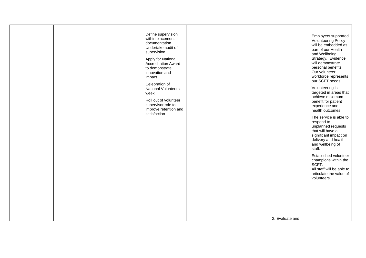|  | Define supervision<br>within placement<br>documentation.<br>Undertake audit of<br>supervision.<br>Apply for National<br><b>Accreditation Award</b><br>to demonstrate<br>innovation and<br>impact.<br>Celebration of<br><b>National Volunteers</b><br>week<br>Roll out of volunteer<br>supervisor role to<br>improve retention and<br>satisfaction |  |                 | Employers supported<br><b>Volunteering Policy</b><br>will be embedded as<br>part of our Health<br>and Wellbeing<br>Strategy. Evidence<br>will demonstrate<br>personal benefits.<br>Our volunteer<br>workforce represents<br>our SCFT needs.<br>Volunteering is<br>targeted in areas that<br>achieve maximum<br>benefit for patient<br>experience and<br>health outcomes.<br>The service is able to<br>respond to<br>unplanned requests<br>that will have a<br>significant impact on<br>delivery and health<br>and wellbeing of<br>staff.<br>Established volunteer<br>champions within the<br>SCFT.<br>All staff will be able to<br>articulate the value of<br>volunteers. |
|--|---------------------------------------------------------------------------------------------------------------------------------------------------------------------------------------------------------------------------------------------------------------------------------------------------------------------------------------------------|--|-----------------|---------------------------------------------------------------------------------------------------------------------------------------------------------------------------------------------------------------------------------------------------------------------------------------------------------------------------------------------------------------------------------------------------------------------------------------------------------------------------------------------------------------------------------------------------------------------------------------------------------------------------------------------------------------------------|
|  |                                                                                                                                                                                                                                                                                                                                                   |  | 2. Evaluate and |                                                                                                                                                                                                                                                                                                                                                                                                                                                                                                                                                                                                                                                                           |
|  |                                                                                                                                                                                                                                                                                                                                                   |  |                 |                                                                                                                                                                                                                                                                                                                                                                                                                                                                                                                                                                                                                                                                           |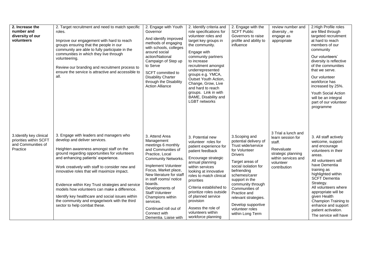| 2. Increase the<br>number and<br>diversity of our<br>volunteers                     | 2. Target recruitment and need to match specific<br>roles.<br>Improve our engagement with hard to reach<br>groups ensuring that the people in our<br>community are able to fully participate in the<br>communities in which they live through<br>volunteering.<br>Review our branding and recruitment process to<br>ensure the service is attractive and accessible to<br>all.                                                                                                                                                                       | 2. Engage with Youth<br>Governor<br>And identify improved<br>methods of engaging<br>with schools, colleges<br>around social<br>action/National<br>Campaign of Step up<br>to Serve<br>SCFT committed to<br><b>Disability Charter</b><br>through the Disability<br><b>Action Alliance</b>                                                                                                   | 2. Identify criteria and<br>role specifications for<br>volunteer roles and<br>target key groups in<br>the community.<br>Engage with<br>community partners<br>to increase<br>recruitment amongst<br>underrepresented<br>groups e.g. YMCA,<br>Outset Youth Action,<br>Change, Grow, Live<br>and hard to reach<br>groups. Link in with<br>BAME, Disability and<br><b>LGBT</b> networks | 2. Engage with the<br><b>SCFT Public</b><br>Governors to raise<br>profile and ability to<br>influence                                                                                                                                                                                                                                     | review number and<br>diversity, re<br>engage as<br>appropriate                                                                             | 2. High Profile roles<br>are filled through<br>targeted recruitment<br>at hard to reach<br>members of our<br>community<br>Our volunteers'<br>diversity is reflective<br>of the communities<br>that we serve.<br>Our volunteer<br>workforce has<br>increased by 25%.<br><b>Youth Social Action</b><br>will be an integral<br>part of our volunteer<br>programme              |
|-------------------------------------------------------------------------------------|------------------------------------------------------------------------------------------------------------------------------------------------------------------------------------------------------------------------------------------------------------------------------------------------------------------------------------------------------------------------------------------------------------------------------------------------------------------------------------------------------------------------------------------------------|-------------------------------------------------------------------------------------------------------------------------------------------------------------------------------------------------------------------------------------------------------------------------------------------------------------------------------------------------------------------------------------------|-------------------------------------------------------------------------------------------------------------------------------------------------------------------------------------------------------------------------------------------------------------------------------------------------------------------------------------------------------------------------------------|-------------------------------------------------------------------------------------------------------------------------------------------------------------------------------------------------------------------------------------------------------------------------------------------------------------------------------------------|--------------------------------------------------------------------------------------------------------------------------------------------|-----------------------------------------------------------------------------------------------------------------------------------------------------------------------------------------------------------------------------------------------------------------------------------------------------------------------------------------------------------------------------|
| 3.Identify key clinical<br>priorities within SCFT<br>and Communities of<br>Practice | 3. Engage with leaders and managers who<br>develop and deliver services.<br>Heighten awareness amongst staff on the<br>ground regarding opportunities for volunteers<br>and enhancing patients' experience.<br>Work creatively with staff to consider new and<br>innovative roles that will maximize impact.<br>Evidence within Key Trust strategies and service<br>models how volunteers can make a difference.<br>Identify key healthcare and social issues within<br>the community and engage/work with the third<br>sector to help combat these. | 3. Attend Area<br>Management<br>meetings 6 monthly<br>and Communities of<br>Practice, Local<br><b>Community Networks.</b><br>Implement Volunteer<br>Focus, Market place,<br>New literature for staff<br>in staff rooms/ notice<br>boards.<br>Developments of<br><b>Staff Volunteer</b><br>Champions within<br>services.<br>Continued roll out of<br>Connect with<br>Dementia. Liaise with | 3. Potential new<br>volunteer roles for<br>patient experience for<br>patient feedback<br>Encourage strategic<br>annual planning<br>within services<br>looking at innovative<br>roles to match clinical<br>priorities<br>Criteria established to<br>prioritize roles outside<br>of planned service<br>provision<br>Assess the role of<br>volunteers within<br>workforce planning     | 3. Scoping and<br>potential delivery of<br>Trust wide/service<br>for Volunteer<br><b>Drivers</b><br>Target areas of<br>social isolation for<br>befriending<br>schemes/carer<br>support in the<br>community through<br>Communities of<br>Practice and<br>relevant strategies.<br>Develop supportive<br>volunteer roles<br>within Long Term | 3 Trial a lunch and<br>learn session for<br>staff.<br>Reevaluate<br>strategic planning<br>within services and<br>volunteer<br>contribution | 3. All staff actively<br>welcome, support<br>and encourage<br>volunteers in their<br>areas.<br>All volunteers will<br>have Dementia<br>training as<br>highlighted within<br><b>SCFT Dementia</b><br>Strategy.<br>All volunteers where<br>appropriate will be<br>given Health<br>Champion Training to<br>enhance and support<br>patient activation.<br>The service will have |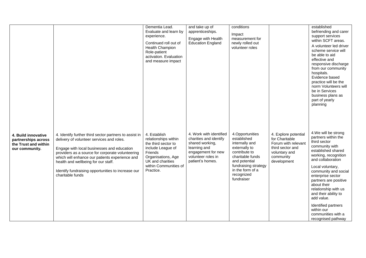|                                                                                      |                                                                                                                                                                                                                                                                                                                                                                          | Dementia Lead.<br>Evaluate and learn by<br>experience.<br>Continued roll out of<br><b>Health Champion</b><br>Role-patient<br>activation. Evaluation<br>and measure impact   | and take up of<br>apprenticeships.<br>Engage with Health<br><b>Education England</b>                                                                 | conditions<br>Impact<br>measurement for<br>newly rolled out<br>volunteer roles                                                                                                                  |                                                                                                                                | established<br>befriending and carer<br>support services<br>within SCFT areas.<br>A volunteer led driver<br>scheme service will<br>be able to aid<br>effective and<br>responsive discharge<br>from our community<br>hospitals.<br>Evidence based<br>practice will be the<br>norm Volunteers will<br>be in Services<br>business plans as<br>part of yearly<br>planning                                    |
|--------------------------------------------------------------------------------------|--------------------------------------------------------------------------------------------------------------------------------------------------------------------------------------------------------------------------------------------------------------------------------------------------------------------------------------------------------------------------|-----------------------------------------------------------------------------------------------------------------------------------------------------------------------------|------------------------------------------------------------------------------------------------------------------------------------------------------|-------------------------------------------------------------------------------------------------------------------------------------------------------------------------------------------------|--------------------------------------------------------------------------------------------------------------------------------|----------------------------------------------------------------------------------------------------------------------------------------------------------------------------------------------------------------------------------------------------------------------------------------------------------------------------------------------------------------------------------------------------------|
| 4. Build innovative<br>partnerships across<br>the Trust and within<br>our community. | 4. Identify further third sector partners to assist in<br>delivery of volunteer services and roles.<br>Engage with local businesses and education<br>providers as a source for corporate volunteering<br>which will enhance our patients experience and<br>health and wellbeing for our staff.<br>Identify fundraising opportunities to increase our<br>charitable funds | 4. Establish<br>relationships within<br>the third sector to<br>include League of<br>Friends<br>Organisations, Age<br>UK and charities<br>within Communities of<br>Practice. | 4. Work with identified<br>charities and identify<br>shared working,<br>learning and<br>engagement for new<br>volunteer roles in<br>patient's homes. | 4.Opportunities<br>established<br>internally and<br>externally to<br>contribute to<br>charitable funds<br>and potential<br>fundraising strategy<br>in the form of a<br>recognized<br>fundraiser | 4. Explore potential<br>for Charitable<br>Forum with relevant<br>third sector and<br>voluntary and<br>community<br>development | 4. We will be strong<br>partners within the<br>third sector<br>community with<br>established shared<br>working, recognition<br>and collaboration<br>Local voluntary,<br>community and social<br>enterprise sector<br>partners are positive<br>about their<br>relationship with us<br>and their ability to<br>add value.<br>Identified partners<br>within our<br>communities with a<br>recognised pathway |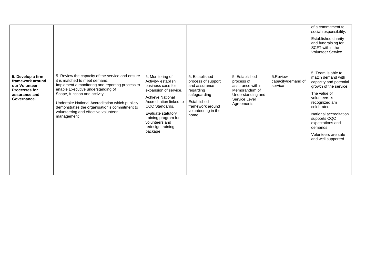| 5. Develop a firm<br>framework around<br>our Volunteer<br><b>Processes for</b><br>assurance and<br>Governance. | 5. Review the capacity of the service and ensure<br>it is matched to meet demand.<br>Implement a monitoring and reporting process to<br>enable Executive understanding of<br>Scope, function and activity.<br>Undertake National Accreditation which publicly<br>demonstrates the organisation's commitment to<br>volunteering and effective volunteer<br>management | 5. Monitoring of<br>Activity-establish<br>business case for<br>expansion of service.<br><b>Achieve National</b><br>Accreditation linked to<br>CQC Standards.<br>Evaluate statutory<br>training program for<br>volunteers and<br>redesign training<br>package | 5. Established<br>process of support<br>and assurance<br>regarding<br>safeguarding<br>Established<br>framework around<br>volunteering in the<br>home. | 5. Established<br>process of<br>assurance within<br>Memorandum of<br>Understanding and<br>Service Level<br>Agreements | 5.Review<br>capacity/demand of<br>service | of a commitment to<br>social responsibility.<br>Established charity<br>and fundraising for<br>SCFT within the<br><b>Volunteer Service</b><br>5. Team is able to<br>match demand with<br>capacity and potential<br>growth of the service.<br>The value of<br>volunteers is<br>recognized am<br>celebrated<br>National accreditation<br>supports CQC<br>expectations and<br>demands.<br>Volunteers are safe<br>and well supported. |
|----------------------------------------------------------------------------------------------------------------|----------------------------------------------------------------------------------------------------------------------------------------------------------------------------------------------------------------------------------------------------------------------------------------------------------------------------------------------------------------------|--------------------------------------------------------------------------------------------------------------------------------------------------------------------------------------------------------------------------------------------------------------|-------------------------------------------------------------------------------------------------------------------------------------------------------|-----------------------------------------------------------------------------------------------------------------------|-------------------------------------------|----------------------------------------------------------------------------------------------------------------------------------------------------------------------------------------------------------------------------------------------------------------------------------------------------------------------------------------------------------------------------------------------------------------------------------|
|----------------------------------------------------------------------------------------------------------------|----------------------------------------------------------------------------------------------------------------------------------------------------------------------------------------------------------------------------------------------------------------------------------------------------------------------------------------------------------------------|--------------------------------------------------------------------------------------------------------------------------------------------------------------------------------------------------------------------------------------------------------------|-------------------------------------------------------------------------------------------------------------------------------------------------------|-----------------------------------------------------------------------------------------------------------------------|-------------------------------------------|----------------------------------------------------------------------------------------------------------------------------------------------------------------------------------------------------------------------------------------------------------------------------------------------------------------------------------------------------------------------------------------------------------------------------------|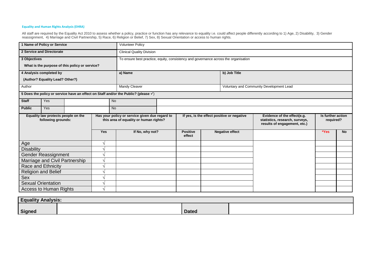#### **Equality and Human Rights Analysis (EHRA)**

All staff are required by th[e Equality Act 2010](http://www.legislation.gov.uk/ukpga/2010/15/contents) to assess whether a policy, practice or function has any relevance to equality i.e. could affect people differently according to 1) Age, 2) Disability, 3) Gender reassignment, 4) Marriage and Civil Partnership, 5) Race, 6) Religion or Belief, 7) Sex, 8) Sexual Orientation or access to human rights.

|                                                           | 1 Name of Policy or Service     |                                                                                          |            | <b>Volunteer Policy</b>                                                                        |                           |                                                                                               |                                |                                          |      |           |
|-----------------------------------------------------------|---------------------------------|------------------------------------------------------------------------------------------|------------|------------------------------------------------------------------------------------------------|---------------------------|-----------------------------------------------------------------------------------------------|--------------------------------|------------------------------------------|------|-----------|
|                                                           | 2 Service and Directorate       |                                                                                          |            | <b>Clinical Quality Division</b>                                                               |                           |                                                                                               |                                |                                          |      |           |
| 3 Objectives                                              |                                 | To ensure best practice, equity, consistency and governance across the organisation      |            |                                                                                                |                           |                                                                                               |                                |                                          |      |           |
|                                                           |                                 | What is the purpose of this policy or service?                                           |            |                                                                                                |                           |                                                                                               |                                |                                          |      |           |
|                                                           | 4 Analysis completed by         |                                                                                          |            | a) Name                                                                                        |                           |                                                                                               | b) Job Title                   |                                          |      |           |
|                                                           | (Author? Equality Lead? Other?) |                                                                                          |            |                                                                                                |                           |                                                                                               |                                |                                          |      |           |
| Author                                                    |                                 |                                                                                          |            | <b>Mandy Cleaver</b>                                                                           |                           |                                                                                               |                                | Voluntary and Community Development Lead |      |           |
|                                                           |                                 |                                                                                          |            | 5 Does the policy or service have an effect on Staff and/or the Public? (please $\checkmark$ ) |                           |                                                                                               |                                |                                          |      |           |
| <b>Staff</b>                                              | Yes                             |                                                                                          | <b>No</b>  |                                                                                                |                           |                                                                                               |                                |                                          |      |           |
| <b>Public</b>                                             | Yes                             |                                                                                          | <b>No</b>  |                                                                                                |                           |                                                                                               |                                |                                          |      |           |
| Equality law protects people on the<br>following grounds: |                                 | Has your policy or service given due regard to<br>this area of equality or human rights? |            | If yes, is the effect positive or negative                                                     |                           | Evidence of the effect(e.g.<br>statistics, research, surveys,<br>results of engagement, etc.) | Is further action<br>required? |                                          |      |           |
|                                                           |                                 |                                                                                          | <b>Yes</b> | If No, why not?                                                                                | <b>Positive</b><br>effect |                                                                                               | <b>Negative effect</b>         |                                          | *Yes | <b>No</b> |
| Age                                                       |                                 |                                                                                          |            |                                                                                                |                           |                                                                                               |                                |                                          |      |           |
| <b>Disability</b>                                         |                                 |                                                                                          |            |                                                                                                |                           |                                                                                               |                                |                                          |      |           |
|                                                           | Gender Reassignment             |                                                                                          |            |                                                                                                |                           |                                                                                               |                                |                                          |      |           |
|                                                           | Marriage and Civil Partnership  |                                                                                          |            |                                                                                                |                           |                                                                                               |                                |                                          |      |           |
|                                                           | Race and Ethnicity              |                                                                                          |            |                                                                                                |                           |                                                                                               |                                |                                          |      |           |
|                                                           | <b>Religion and Belief</b>      |                                                                                          |            |                                                                                                |                           |                                                                                               |                                |                                          |      |           |
| Sex                                                       |                                 |                                                                                          |            |                                                                                                |                           |                                                                                               |                                |                                          |      |           |
|                                                           | <b>Sexual Orientation</b>       |                                                                                          |            |                                                                                                |                           |                                                                                               |                                |                                          |      |           |
|                                                           | <b>Access to Human Rights</b>   |                                                                                          |            |                                                                                                |                           |                                                                                               |                                |                                          |      |           |

| <b>Equality Analysis:</b> |  |              |  |  |  |  |  |  |
|---------------------------|--|--------------|--|--|--|--|--|--|
| <b>Signed</b>             |  | <b>Dated</b> |  |  |  |  |  |  |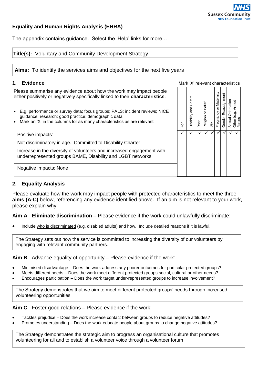

## **Equality and Human Rights Analysis (EHRA)**

The appendix contains guidance. Select the 'Help' links for more …

### **Title(s):** Voluntary and Community Development Strategy

**Aims:** To identify the services aims and objectives for the next five years

**1. Evidence** *CON* **Evidence** *CON Mark 'X'* **relevant characteristics <b>Mark** 'X' relevant characteristics

Please summarise any evidence about how the work may impact people either positively or negatively specifically linked to their **characteristics**.

- E.g. performance or survey data; focus groups; PALS; incident reviews; NICE guidance; research; good practice; demographic data
- Mark an 'X' in the columns for as many characteristics as are relevant

| ase summanse any evidence about now the work may impact people<br>either positively or negatively specifically linked to their characteristics.                                                                                                                                                                                                            |              | Carers         |                         | Belief        |              | or Maternity | Reassignment |                                                                      |           |
|------------------------------------------------------------------------------------------------------------------------------------------------------------------------------------------------------------------------------------------------------------------------------------------------------------------------------------------------------------|--------------|----------------|-------------------------|---------------|--------------|--------------|--------------|----------------------------------------------------------------------|-----------|
| E.g. performance or survey data; focus groups; PALS; incident reviews; NICE<br>$\bullet$<br>guidance; research; good practice; demographic data<br>Mark an 'X' in the columns for as many characteristics as are relevant<br>$\bullet$                                                                                                                     | Age          | Disability and | Race                    | ŏ<br>Religion | Sex          | Pregnancy    | Gender       | Orientation<br>e.g. Armed<br>Sexual Orien<br>Other (e.g. /<br>Forces |           |
| Positive impacts:                                                                                                                                                                                                                                                                                                                                          | $\checkmark$ | $\sqrt{}$      | $\overline{\checkmark}$ | $\checkmark$  | $\checkmark$ | $\checkmark$ | $\checkmark$ | $\checkmark$                                                         | $\sqrt{}$ |
| Not discriminatory in age. Committed to Disability Charter                                                                                                                                                                                                                                                                                                 |              |                |                         |               |              |              |              |                                                                      |           |
| Increase in the diversity of volunteers and increased engagement with<br>underrepresented groups BAME, Disability and LGBT networks                                                                                                                                                                                                                        |              |                |                         |               |              |              |              |                                                                      |           |
| Negative impacts: None                                                                                                                                                                                                                                                                                                                                     |              |                |                         |               |              |              |              |                                                                      |           |
| 2. Equality Analysis                                                                                                                                                                                                                                                                                                                                       |              |                |                         |               |              |              |              |                                                                      |           |
| Aim A Eliminate discrimination – Please evidence if the work could unlawfully discriminate:<br>Include who is discriminated (e.g. disabled adults) and how. Include detailed reasons if it is lawful.<br>The Strategy sets out how the service is committed to increasing the diversity of our volunteers by<br>engaging with relevant community partners. |              |                |                         |               |              |              |              |                                                                      |           |
| Aim B Advance equality of opportunity - Please evidence if the work:                                                                                                                                                                                                                                                                                       |              |                |                         |               |              |              |              |                                                                      |           |
| Minimised disadvantage - Does the work address any poorer outcomes for particular protected groups?<br>٠<br>Meets different needs - Does the work meet different protected groups social, cultural or other needs?<br>$\bullet$<br>Encourages participation - Does the work target under-represented groups to increase involvement?<br>$\bullet$          |              |                |                         |               |              |              |              |                                                                      |           |
|                                                                                                                                                                                                                                                                                                                                                            |              |                |                         |               |              |              |              |                                                                      |           |
| The Strategy demonstrates that we aim to meet different protected groups' needs through increased<br>volunteering opportunities                                                                                                                                                                                                                            |              |                |                         |               |              |              |              |                                                                      |           |
| <b>Aim C</b> Foster good relations $-$ Please evidence if the work:                                                                                                                                                                                                                                                                                        |              |                |                         |               |              |              |              |                                                                      |           |

#### **2. Equality Analysis**

- Minimised disadvantage Does the work address any poorer outcomes for particular protected groups?
- Meets different needs Does the work meet different protected groups social, cultural or other needs?
- Encourages participation Does the work target under-represented groups to increase involvement?

- Tackles prejudice Does the work increase contact between groups to reduce negative attitudes?
- 

The Strategy demonstrates the strategic aim to progress an organisational culture that promotes volunteering for all and to establish a volunteer voice through a volunteer forum